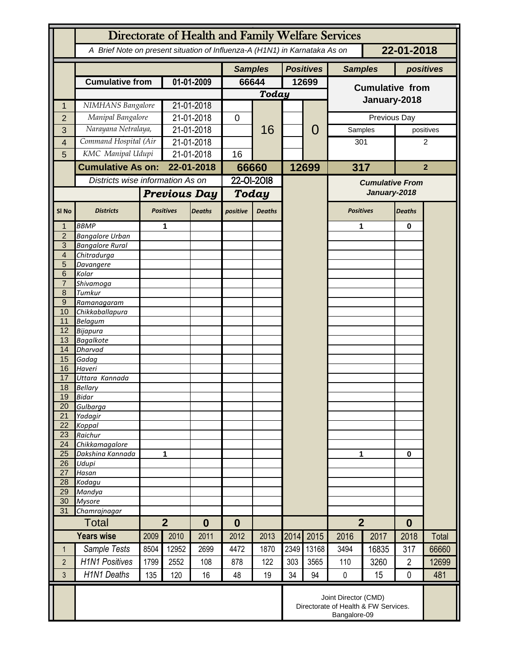|                                  | Directorate of Health and Family Welfare Services                                        |                          |                  |               |                |               |       |                  |                                                                              |                  |                |           |  |
|----------------------------------|------------------------------------------------------------------------------------------|--------------------------|------------------|---------------|----------------|---------------|-------|------------------|------------------------------------------------------------------------------|------------------|----------------|-----------|--|
|                                  | A Brief Note on present situation of Influenza-A (H1N1) in Karnataka As on<br>22-01-2018 |                          |                  |               |                |               |       |                  |                                                                              |                  |                |           |  |
|                                  |                                                                                          |                          |                  |               | <b>Samples</b> |               |       | <b>Positives</b> | <b>Samples</b>                                                               |                  | positives      |           |  |
|                                  | <b>Cumulative from</b>                                                                   |                          | 01-01-2009       |               | 66644          |               | 12699 |                  | <b>Cumulative from</b>                                                       |                  |                |           |  |
|                                  |                                                                                          |                          |                  |               | Today          |               |       |                  |                                                                              |                  |                |           |  |
| 1                                |                                                                                          | NIMHANS Bangalore        |                  | 21-01-2018    |                | 16            |       |                  | January-2018                                                                 |                  |                |           |  |
| $\overline{2}$                   | Manipal Bangalore                                                                        |                          | 21-01-2018       |               | $\mathbf 0$    |               |       | 0                | Previous Day                                                                 |                  |                |           |  |
| 3                                | Narayana Netralaya,                                                                      |                          | 21-01-2018       |               |                |               |       |                  | Samples                                                                      |                  |                | positives |  |
| 4                                | Command Hospital (Air                                                                    |                          | 21-01-2018       |               |                |               |       |                  | 301                                                                          |                  | 2              |           |  |
| 5                                | KMC Manipal Udupi                                                                        |                          | 21-01-2018       |               | 16             |               |       |                  |                                                                              |                  |                |           |  |
|                                  |                                                                                          | <b>Cumulative As on:</b> |                  | 22-01-2018    |                | 66660         |       | 12699            | 317                                                                          |                  | $\overline{2}$ |           |  |
|                                  | Districts wise information As on                                                         |                          |                  |               | 22-01-2018     |               |       |                  |                                                                              |                  |                |           |  |
|                                  |                                                                                          |                          |                  |               |                |               |       |                  | <b>Cumulative From</b><br>January-2018                                       |                  |                |           |  |
|                                  |                                                                                          | <b>Previous Day</b>      |                  | Today         |                |               |       |                  |                                                                              |                  |                |           |  |
| SI <sub>No</sub>                 | <b>Districts</b>                                                                         |                          | <b>Positives</b> | <b>Deaths</b> | positive       | <b>Deaths</b> |       |                  |                                                                              | <b>Positives</b> |                |           |  |
|                                  | <b>BBMP</b>                                                                              |                          | 1                |               |                |               |       |                  | 1                                                                            |                  | $\bf{0}$       |           |  |
| $\overline{2}$                   | <b>Bangalore Urban</b>                                                                   |                          |                  |               |                |               |       |                  |                                                                              |                  |                |           |  |
| $\overline{3}$<br>$\overline{4}$ | <b>Bangalore Rural</b><br>Chitradurga                                                    |                          |                  |               |                |               |       |                  |                                                                              |                  |                |           |  |
| 5                                | Davangere                                                                                |                          |                  |               |                |               |       |                  |                                                                              |                  |                |           |  |
| 6                                | Kolar                                                                                    |                          |                  |               |                |               |       |                  |                                                                              |                  |                |           |  |
| $\overline{7}$                   | Shivamoga                                                                                |                          |                  |               |                |               |       |                  |                                                                              |                  |                |           |  |
| 8                                | Tumkur                                                                                   |                          |                  |               |                |               |       |                  |                                                                              |                  |                |           |  |
| $\overline{9}$                   | Ramanagaram                                                                              |                          |                  |               |                |               |       |                  |                                                                              |                  |                |           |  |
| 10<br>11                         | Chikkaballapura<br><b>Belagum</b>                                                        |                          |                  |               |                |               |       |                  |                                                                              |                  |                |           |  |
| 12                               | <b>Bijapura</b>                                                                          |                          |                  |               |                |               |       |                  |                                                                              |                  |                |           |  |
| 13                               | <b>Bagalkote</b>                                                                         |                          |                  |               |                |               |       |                  |                                                                              |                  |                |           |  |
| 14                               | <b>Dharvad</b>                                                                           |                          |                  |               |                |               |       |                  |                                                                              |                  |                |           |  |
| 15<br>16                         | Gadag                                                                                    |                          |                  |               |                |               |       |                  |                                                                              |                  |                |           |  |
| 17                               | Haveri<br>Uttara Kannada                                                                 |                          |                  |               |                |               |       |                  |                                                                              |                  |                |           |  |
| 18                               | <b>Bellary</b>                                                                           |                          |                  |               |                |               |       |                  |                                                                              |                  |                |           |  |
| 19                               | <b>Bidar</b>                                                                             |                          |                  |               |                |               |       |                  |                                                                              |                  |                |           |  |
| 20                               | Gulbarga                                                                                 |                          |                  |               |                |               |       |                  |                                                                              |                  |                |           |  |
| 21                               | Yadagir                                                                                  |                          |                  |               |                |               |       |                  |                                                                              |                  |                |           |  |
| 22<br>23                         | Koppal<br>Raichur                                                                        |                          |                  |               |                |               |       |                  |                                                                              |                  |                |           |  |
| 24                               | Chikkamagalore                                                                           |                          |                  |               |                |               |       |                  |                                                                              |                  |                |           |  |
| 25                               | Dakshina Kannada                                                                         | 1                        |                  |               |                |               |       |                  | 1                                                                            |                  | $\mathbf 0$    |           |  |
| 26                               | Udupi                                                                                    |                          |                  |               |                |               |       |                  |                                                                              |                  |                |           |  |
| 27<br>28                         | Hasan                                                                                    |                          |                  |               |                |               |       |                  |                                                                              |                  |                |           |  |
| 29                               | Kodagu<br>Mandya                                                                         |                          |                  |               |                |               |       |                  |                                                                              |                  |                |           |  |
| 30                               | <b>Mysore</b>                                                                            |                          |                  |               |                |               |       |                  |                                                                              |                  |                |           |  |
| 31                               | Chamrajnagar                                                                             |                          |                  |               |                |               |       |                  |                                                                              |                  |                |           |  |
|                                  | <b>Total</b>                                                                             |                          | $\overline{2}$   |               | $\bf{0}$       |               |       |                  | $\overline{2}$                                                               |                  | $\bf{0}$       |           |  |
|                                  | <b>Years wise</b>                                                                        | 2009                     | 2010             | 2011          | 2012           | 2013          | 2014  | 2015             | 2016                                                                         | 2017             | 2018           | Total     |  |
| 1                                | Sample Tests                                                                             | 8504                     | 12952            | 2699          | 4472           | 1870          | 2349  | 13168            | 3494                                                                         | 16835            | 317            | 66660     |  |
| $\overline{2}$                   | <b>H1N1 Positives</b>                                                                    | 1799                     | 2552             | 108           | 878            | 122           | 303   | 3565             | 110                                                                          | 3260             | $\overline{2}$ | 12699     |  |
| 3                                | <b>H1N1 Deaths</b>                                                                       | 135                      | 120              | 16            | 48             | 19            | 34    | 94               | $\pmb{0}$                                                                    | 15               | $\mathbf 0$    | 481       |  |
|                                  |                                                                                          |                          |                  |               |                |               |       |                  | Joint Director (CMD)<br>Directorate of Health & FW Services.<br>Bangalore-09 |                  |                |           |  |